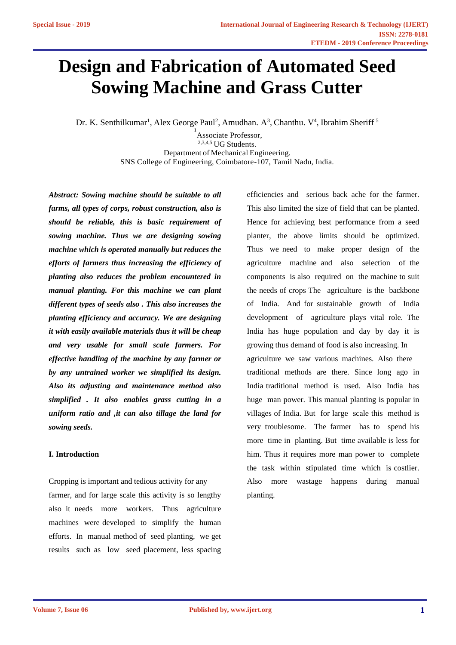# **Design and Fabrication of Automated Seed Sowing Machine and Grass Cutter**

Dr. K. Senthilkumar<sup>1</sup>, Alex George Paul<sup>2</sup>, Amudhan. A<sup>3</sup>, Chanthu. V<sup>4</sup>, Ibrahim Sheriff<sup>5</sup>

<sup>1</sup> Associate Professor, <sup>2,3,4,5</sup> UG Students. Department of Mechanical Engineering. SNS College of Engineering, Coimbatore-107, Tamil Nadu, India.

 *should be reliable, this is basic requirement of*  *planting also reduces the problem encountered in simplified . It also enables grass cutting in a Abstract: Sowing machine should be suitable to all farms, all types of corps, robust construction, also is sowing machine. Thus we are designing sowing machine which is operated manually but reduces the efforts of farmers thus increasing the efficiency of manual planting. For this machine we can plant different types of seeds also . This also increases the planting efficiency and accuracy. We are designing it with easily available materials thus it will be cheap and very usable for small scale farmers. For effective handling of the machine by any farmer or by any untrained worker we simplified its design. Also its adjusting and maintenance method also uniform ratio and ,it can also tillage the land for sowing seeds.* **I. I. T. Also Change 1.**<br> **I. Introduction**<br> **I. Introduction** 

Cropping is important and tedious activity for any farmer, and for large scale this activity is so lengthy also it needs more workers. Thus agriculture machines were developed to simplify the human efforts. In manual method of seed planting, we get results such as low seed placement, less spacing efficiencies and serious back ache for the farmer. This also limited the size of field that can be planted. Hence for achieving best performance from a seed planter, the above limits should be optimized. Thus we need to make proper design of the agriculture machine and also selection of the components is also required on the machine to suit the needs of crops The agriculture is the backbone of India. And for sustainable growth of India development of agriculture plays vital role. The India has huge population and day by day it is growing thus demand of food is also increasing. In agriculture we saw various machines. Also there traditional methods are there. Since long ago in India traditional method is used. Also India has huge man power. This manual planting is popular in villages of India. But for large scale this method is very troublesome. The farmer has to spend his more time in planting. But time available is less for him. Thus it requires more man power to complete the task within stipulated time which is costlier. Also more wastage happens during manual planting.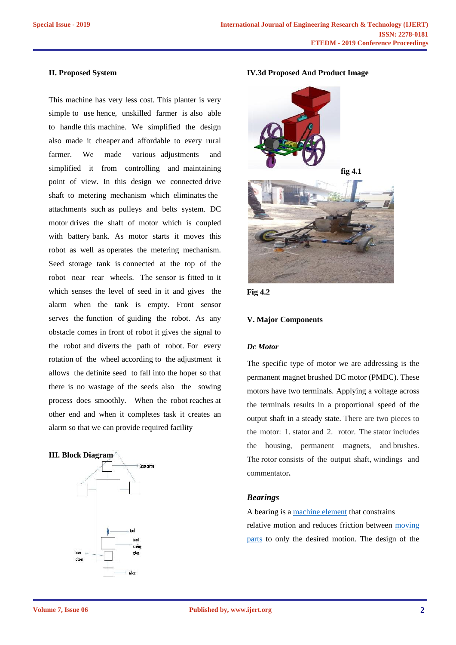### **II. Proposed System**

This machine has very less cost. This planter is very simple to use hence, unskilled farmer is also able to handle this machine. We simplified the design also made it cheaper and affordable to every rural farmer. We made various adjustments and simplified it from controlling and maintaining point of view. In this design we connected drive shaft to metering mechanism which eliminates the attachments such as pulleys and belts system. DC motor drives the shaft of motor which is coupled with battery bank. As motor starts it moves this robot as well as operates the metering mechanism. Seed storage tank is connected at the top of the robot near rear wheels. The sensor is fitted to it which senses the level of seed in it and gives the alarm when the tank is empty. Front sensor serves the function of guiding the robot. As any obstacle comes in front of robot it gives the signal to the robot and diverts the path of robot. For every rotation of the wheel according to the adjustment it allows the definite seed to fall into the hoper so that there is no wastage of the seeds also the sowing process does smoothly. When the robot reaches at other end and when it completes task it creates an alarm so that we can provide required facility

#### **III. Block Diagram**



#### **IV.3d Proposed And Product Image**





### **V. Major Components**

# *Dc Motor*

The specific type of motor we are addressing is the permanent magnet brushed DC motor (PMDC). These motors have two terminals. Applying a voltage across the terminals results in a proportional speed of the output shaft in a steady state. There are two pieces to the motor: 1. stator and 2. rotor. The stator includes the housing, permanent magnets, and brushes. The rotor consists of the output shaft, windings and commentator**.**

## *Bearings*

A bearing is a machine element that constrains relative motion and reduces friction between moving parts to only the desired motion. The design of the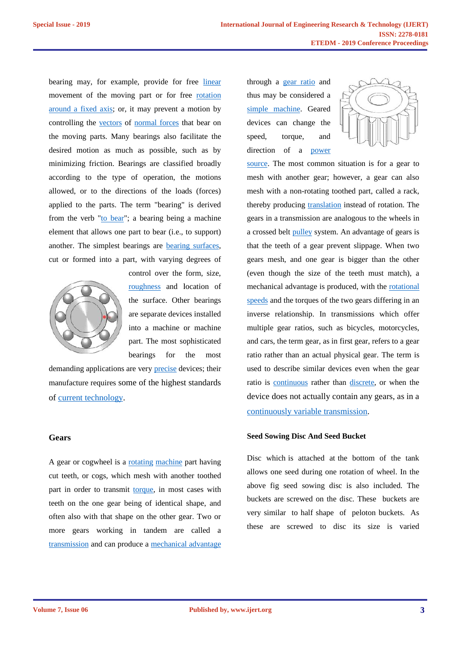bearing may, for example, provide for free linear movement of the moving part or for free rotation around a fixed axis; or, it may prevent a motion by controlling the vectors of normal forces that bear on the moving parts. Many bearings also facilitate the desired motion as much as possible, such as by minimizing friction. Bearings are classified broadly according to the type of operation, the motions allowed, or to the directions of the loads (forces) applied to the parts. The term "bearing" is derived from the verb "to bear"; a bearing being a machine element that allows one part to bear (i.e., to support) another. The simplest bearings are **bearing surfaces**, cut or formed into a part, with varying degrees of may, for example, provide for free <u>linear</u> the the moving part or for free <u>rotation</u> the the moving part or it may prevent a motion by sing the <u>vectors</u> of <u>normal forces</u> that bear on ding parts. Many bearings also fac according to the type of operation, the motions<br>allowed, or to the directions of the loads (forces)<br>applied to the parts. The term "bearing" is derived<br>from the verb "<u>to bear</u>"; a bearing being a machine<br>element that allo the verb "<u>to bear</u>"; a bearing being<br>nt that allows one part to bear (i.e.,<br>er. The simplest bearings are <u>bearince</u><br>formed into a part, with varying



control over the form, size, roughness and location of the surface. Other bearings are separate devices installed into a machine or machine a machine part. The most sophisticated bearings for the most bearings

demanding applications are very precise devices; their manufacture requires some of the highest standards of current technology.

# **Gears**

A gear or cogwheel is a <u>rotating machine</u> part having cut teeth, or cogs, which mesh with another toothed part in order to transmit torque, in most cases with teeth on the one gear being of identical shape, and often also with that shape on the other gear. Two or more gears working in tandem are called a transmission and can produce a mechanical advantage

through a gear ratio and thus may be considered a simple machine. Geared devices can change the  $\|\cdot\|$ torque, and direction of a <u>power</u>



source. The most common situation is for a gear to mesh with another gear; however, a gear can also mesh with a non-rotating toothed part, called a rack, thereby producing translation instead of rotation. The gears in a transmission are analogous to the wheels in a crossed belt **pulley** system. An advantage of gears is that the teeth of a gear prevent slippage. When two gears mesh, and one gear is bigger than the other (even though the size of the teeth must match), a mechanical advantage is produced, with the rotational speeds and the torques of the two gears differing in an inverse relationship. In transmissions which offer multiple gear ratios, such as bicycles, motorcycles, and cars, the term gear, as in first gear, refers to a gear ratio rather than an actual physical gear. The term is used to describe similar devices even when the gear ratio is continuous rather than discrete, or when the device does not actually contain any gears, as in a continuously variable transmission. File moving part or for free <u>rostation</u><br>
aluss may be considered a<br>
el axis; or, it may prevent a motion by<br>
simple machine. General<br>
enventers com change the base of more than the stress can change the<br>
expect of survey nother gear; however, a gear can also<br>non-rotating toothed part, called a rack,<br>ucing translation instead of rotation. The<br>nsmission are analogous to the wheels in mesh, and one gear is bigger than the other<br>though the size of the teeth must match),<br>nical advantage is produced, with the <u>rotation</u> inverse relationship. In transmissions which offer<br>multiple gear ratios, such as bicycles, motorcycles,<br>and cars, the term gear, as in first gear, refers to a gear<br>ratio rather than an actual physical gear. The term is<br>use ing the second of the considered at a set and the second at the considered. Theodos in the second at the second at the second at the second at the second at the second at the second at the second at the second at the seco telematineat durent of Keplexines Research & Technology (IJERT)<br>
hence a second of the example, general of the transmittered the term is a map be considered as for the transmitteed the transmitteed the transmitteeth the tr

# **Seed Sowing Disc And Seed Bucket**

Disc which is attached at the bottom of the tank allows one seed during one rotation of wheel. In the above fig seed sowing disc is also included. The buckets are screwed on the disc. These buckets are very similar to half shape of peloton buckets. As these are screwed to disc its size is varied